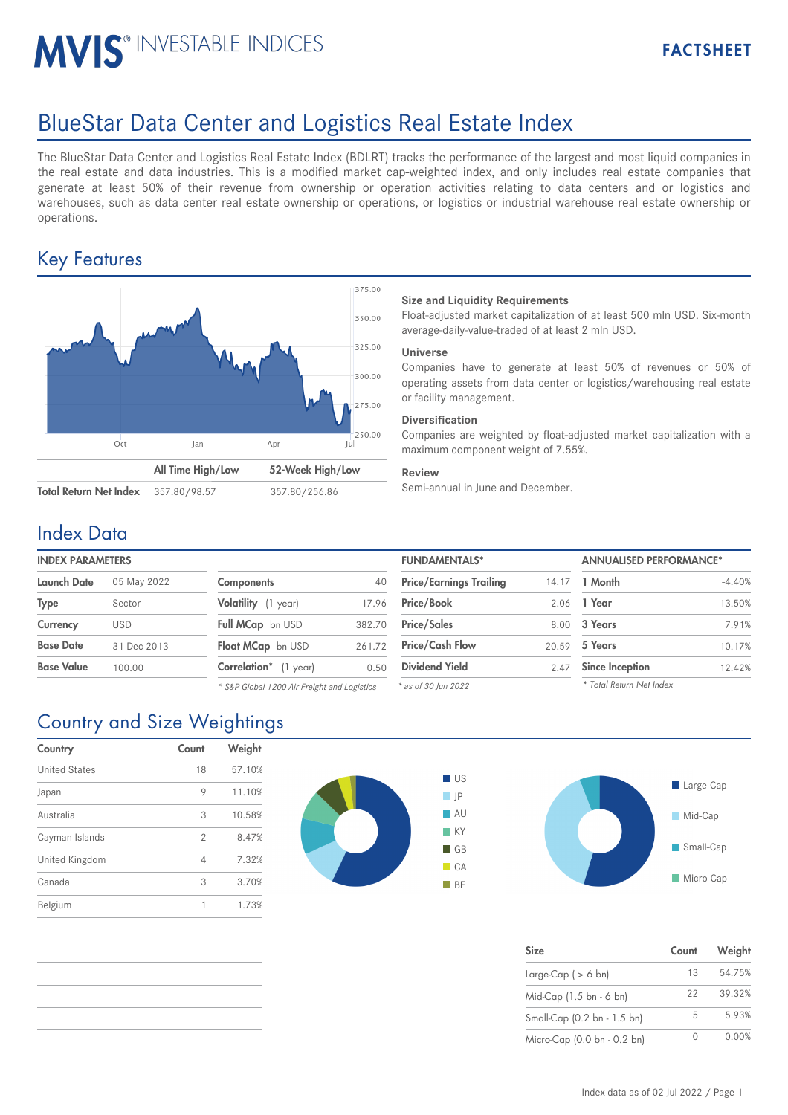# MVIS<sup>®</sup> INVESTABLE INDICES

# BlueStar Data Center and Logistics Real Estate Index

The BlueStar Data Center and Logistics Real Estate Index (BDLRT) tracks the performance of the largest and most liquid companies in the real estate and data industries. This is a modified market cap-weighted index, and only includes real estate companies that generate at least 50% of their revenue from ownership or operation activities relating to data centers and or logistics and warehouses, such as data center real estate ownership or operations, or logistics or industrial warehouse real estate ownership or operations.

## Key Features



### **Size and Liquidity Requirements**

Float-adjusted market capitalization of at least 500 mln USD. Six-month average-daily-value-traded of at least 2 mln USD.

### **Universe**

Companies have to generate at least 50% of revenues or 50% of operating assets from data center or logistics/warehousing real estate or facility management.

### **Diversification**

Companies are weighted by float-adjusted market capitalization with a maximum component weight of 7.55%.

### **Review**

### Index Data

# **INDEX PARAMETERS**

| Launch Date      | 05 May 2022 | <b>Components</b>            | 40     | <b>Price/Earnings Trailing</b> |      | 14.17 <b>1 Month</b>   |
|------------------|-------------|------------------------------|--------|--------------------------------|------|------------------------|
| Type             | Sector      | Volatility (1 year)          | 17.96  | <b>Price/Book</b>              |      | 2.06 1 Year            |
| Currency         | <b>USD</b>  | Full MCap bn USD             | 382.70 | <b>Price/Sales</b>             |      | 8.00 3 Years           |
| <b>Base Date</b> | 31 Dec 2013 | Float MCap bn USD            |        | 261.72 Price/Cash Flow         |      | 20.59 <b>5 Years</b>   |
| Base Value       | 100.00      | <b>Correlation*</b> (1 year) | 0.50   | <b>Dividend Yield</b>          | 2.47 | <b>Since Inception</b> |
|                  |             |                              |        |                                |      |                        |

| <b>Components</b>        | 40     |
|--------------------------|--------|
| Volatility (1 year)      | 17.96  |
| Full MCap bn USD         | 382.70 |
| <b>Float MCap</b> bn USD | 261.72 |
| Correlation* (1 year)    | 0.50   |

*\* S&P Global 1200 Air Freight and Logistics*

| <b>INDEX PARAMETERS</b> |             |                                             |        | <b>FUNDAMENTALS*</b>           |       | <b>ANNUALISED PERFORMANCE*</b> |           |
|-------------------------|-------------|---------------------------------------------|--------|--------------------------------|-------|--------------------------------|-----------|
| Launch Date             | 05 May 2022 | <b>Components</b>                           | 40     | <b>Price/Earnings Trailing</b> | 14.17 | 1 Month                        | $-4.40%$  |
| Type                    | Sector      | Volatility (1 year)                         | 17.96  | <b>Price/Book</b>              | 2.06  | 1 Year                         | $-13.50%$ |
| Currency                | <b>USD</b>  | Full MCap bn USD                            | 382.70 | <b>Price/Sales</b>             | 8.00  | 3 Years                        | 7.91%     |
| Base Date               | 31 Dec 2013 | Float MCap bn USD                           | 261.72 | <b>Price/Cash Flow</b>         | 20.59 | 5 Years                        | 10.17%    |
| Base Value              | 100.00      | Correlation* (1 year)                       | 0.50   | <b>Dividend Yield</b>          | 2.47  | <b>Since Inception</b>         | 12.42%    |
|                         |             | * S&P Global 1200 Air Freight and Logistics |        | $*$ as of 30 lun 2022          |       | * Total Return Net Index       |           |

*\* as of 30 Jun 2022*

| Large-Cap     |
|---------------|
| Mid-Cap<br>n. |
| Small-Cap     |
| Micro-Cap     |

| <b>Size</b>                 | Count | Weight |
|-----------------------------|-------|--------|
| Large-Cap ( $> 6$ bn)       | 13    | 54.75% |
| Mid-Cap (1.5 bn - 6 bn)     | 22    | 39.32% |
| Small-Cap (0.2 bn - 1.5 bn) | 5     | 5.93%  |
| Micro-Cap (0.0 bn - 0.2 bn) |       | 0.00%  |

# Country and Size Weightings

| Country              | Count | Weight |
|----------------------|-------|--------|
| <b>United States</b> | 18    | 57.10% |
| Japan                | 9     | 11.10% |
| Australia            | 3     | 10.58% |
| Cayman Islands       | 2     | 8.47%  |
| United Kingdom       | 4     | 7.32%  |
| Canada               | 3     | 3.70%  |
| Belgium              | 1     | 1.73%  |
|                      |       |        |